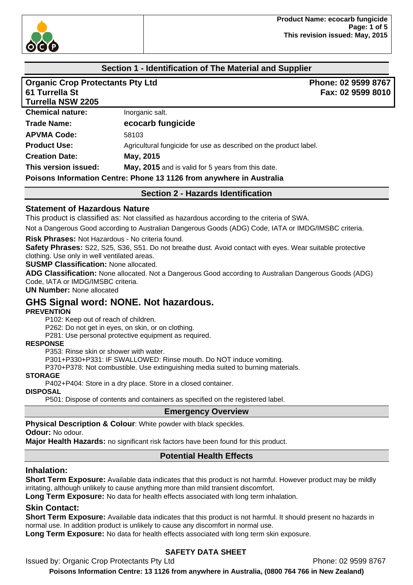

## **Section 1 - Identification of The Material and Supplier**

| <b>Organic Crop Protectants Pty Ltd</b><br>61 Turrella St<br><b>Turrella NSW 2205</b> |                                                                      | Phone: 02 9599 8767<br>Fax: 02 9599 8010 |
|---------------------------------------------------------------------------------------|----------------------------------------------------------------------|------------------------------------------|
| <b>Chemical nature:</b>                                                               | Inorganic salt.                                                      |                                          |
| <b>Trade Name:</b>                                                                    | ecocarb fungicide                                                    |                                          |
| <b>APVMA Code:</b>                                                                    | 58103                                                                |                                          |
| <b>Product Use:</b>                                                                   | Agricultural fungicide for use as described on the product label.    |                                          |
| <b>Creation Date:</b>                                                                 | May, 2015                                                            |                                          |
| This version issued:                                                                  | May, 2015 and is valid for 5 years from this date.                   |                                          |
|                                                                                       | Poisons Information Centre: Phone 13 1126 from anywhere in Australia |                                          |

**Section 2 - Hazards Identification** 

### **Statement of Hazardous Nature**

This product is classified as: Not classified as hazardous according to the criteria of SWA.

Not a Dangerous Good according to Australian Dangerous Goods (ADG) Code, IATA or IMDG/IMSBC criteria.

**Risk Phrases:** Not Hazardous - No criteria found.

**Safety Phrases:** S22, S25, S36, S51. Do not breathe dust. Avoid contact with eyes. Wear suitable protective clothing. Use only in well ventilated areas.

**SUSMP Classification:** None allocated.

**ADG Classification:** None allocated. Not a Dangerous Good according to Australian Dangerous Goods (ADG) Code, IATA or IMDG/IMSBC criteria.

**UN Number:** None allocated

## **GHS Signal word: NONE. Not hazardous.**

#### **PREVENTION**

P102: Keep out of reach of children.

P262: Do not get in eyes, on skin, or on clothing.

P281: Use personal protective equipment as required.

#### **RESPONSE**

P353: Rinse skin or shower with water.

P301+P330+P331: IF SWALLOWED: Rinse mouth. Do NOT induce vomiting.

P370+P378: Not combustible. Use extinguishing media suited to burning materials.

#### **STORAGE**

P402+P404: Store in a dry place. Store in a closed container.

#### **DISPOSAL**

P501: Dispose of contents and containers as specified on the registered label.

#### **Emergency Overview**

**Physical Description & Colour**: White powder with black speckles.

**Odour:** No odour.

**Major Health Hazards:** no significant risk factors have been found for this product.

## **Potential Health Effects**

#### **Inhalation:**

**Short Term Exposure:** Available data indicates that this product is not harmful. However product may be mildly irritating, although unlikely to cause anything more than mild transient discomfort.

**Long Term Exposure:** No data for health effects associated with long term inhalation.

### **Skin Contact:**

**Short Term Exposure:** Available data indicates that this product is not harmful. It should present no hazards in normal use. In addition product is unlikely to cause any discomfort in normal use.

**Long Term Exposure:** No data for health effects associated with long term skin exposure.

## **SAFETY DATA SHEET**

Issued by: Organic Crop Protectants Pty Ltd **Phone: 02 9599 8767**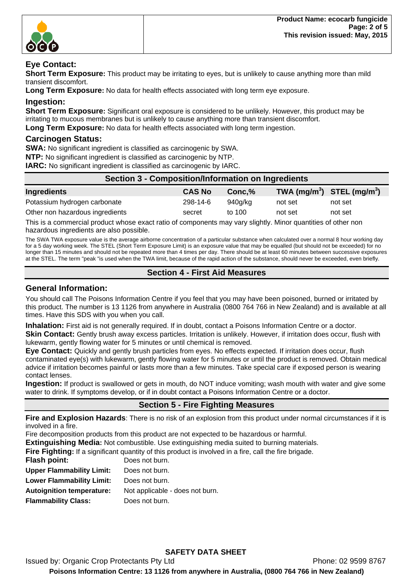

## **Eye Contact:**

**Short Term Exposure:** This product may be irritating to eyes, but is unlikely to cause anything more than mild transient discomfort.

**Long Term Exposure:** No data for health effects associated with long term eye exposure.

### **Ingestion:**

**Short Term Exposure:** Significant oral exposure is considered to be unlikely. However, this product may be irritating to mucous membranes but is unlikely to cause anything more than transient discomfort.

**Long Term Exposure:** No data for health effects associated with long term ingestion.

#### **Carcinogen Status:**

**SWA:** No significant ingredient is classified as carcinogenic by SWA.

**NTP:** No significant ingredient is classified as carcinogenic by NTP.

**IARC:** No significant ingredient is classified as carcinogenic by IARC.

| Section 3 - Composition/Information on Ingredients |               |         |                                |         |
|----------------------------------------------------|---------------|---------|--------------------------------|---------|
| Ingredients                                        | <b>CAS No</b> | Conc.%  | TWA $(mg/m^3)$ STEL $(mg/m^3)$ |         |
| Potassium hydrogen carbonate                       | 298-14-6      | 940a/ka | not set                        | not set |
| Other non hazardous ingredients                    | secret        | to 100  | not set                        | not set |

This is a commercial product whose exact ratio of components may vary slightly. Minor quantities of other non hazardous ingredients are also possible.

The SWA TWA exposure value is the average airborne concentration of a particular substance when calculated over a normal 8 hour working day for a 5 day working week. The STEL (Short Term Exposure Limit) is an exposure value that may be equalled (but should not be exceeded) for no longer than 15 minutes and should not be repeated more than 4 times per day. There should be at least 60 minutes between successive exposures at the STEL. The term "peak "is used when the TWA limit, because of the rapid action of the substance, should never be exceeded, even briefly.

## **Section 4 - First Aid Measures**

#### **General Information:**

You should call The Poisons Information Centre if you feel that you may have been poisoned, burned or irritated by this product. The number is 13 1126 from anywhere in Australia (0800 764 766 in New Zealand) and is available at all times. Have this SDS with you when you call.

**Inhalation:** First aid is not generally required. If in doubt, contact a Poisons Information Centre or a doctor. **Skin Contact:** Gently brush away excess particles. Irritation is unlikely. However, if irritation does occur, flush with lukewarm, gently flowing water for 5 minutes or until chemical is removed.

**Eye Contact:** Quickly and gently brush particles from eyes. No effects expected. If irritation does occur, flush contaminated eye(s) with lukewarm, gently flowing water for 5 minutes or until the product is removed. Obtain medical advice if irritation becomes painful or lasts more than a few minutes. Take special care if exposed person is wearing contact lenses.

**Ingestion:** If product is swallowed or gets in mouth, do NOT induce vomiting; wash mouth with water and give some water to drink. If symptoms develop, or if in doubt contact a Poisons Information Centre or a doctor.

# **Section 5 - Fire Fighting Measures**

**Fire and Explosion Hazards**: There is no risk of an explosion from this product under normal circumstances if it is involved in a fire.

Fire decomposition products from this product are not expected to be hazardous or harmful.

**Extinguishing Media:** Not combustible. Use extinguishing media suited to burning materials.

**Fire Fighting:** If a significant quantity of this product is involved in a fire, call the fire brigade.

| Flash point:                     | Does not burn.                  |
|----------------------------------|---------------------------------|
| <b>Upper Flammability Limit:</b> | Does not burn.                  |
| <b>Lower Flammability Limit:</b> | Does not burn.                  |
| <b>Autoignition temperature:</b> | Not applicable - does not burn. |
| <b>Flammability Class:</b>       | Does not burn.                  |
|                                  |                                 |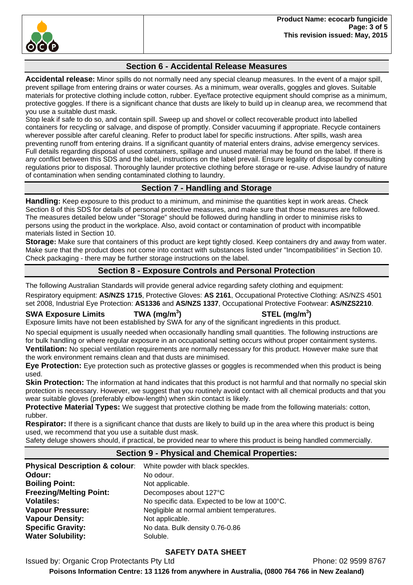

## **Section 6 - Accidental Release Measures**

**Accidental release:** Minor spills do not normally need any special cleanup measures. In the event of a major spill, prevent spillage from entering drains or water courses. As a minimum, wear overalls, goggles and gloves. Suitable materials for protective clothing include cotton, rubber. Eye/face protective equipment should comprise as a minimum, protective goggles. If there is a significant chance that dusts are likely to build up in cleanup area, we recommend that you use a suitable dust mask.

Stop leak if safe to do so, and contain spill. Sweep up and shovel or collect recoverable product into labelled containers for recycling or salvage, and dispose of promptly. Consider vacuuming if appropriate. Recycle containers wherever possible after careful cleaning. Refer to product label for specific instructions. After spills, wash area preventing runoff from entering drains. If a significant quantity of material enters drains, advise emergency services. Full details regarding disposal of used containers, spillage and unused material may be found on the label. If there is any conflict between this SDS and the label, instructions on the label prevail. Ensure legality of disposal by consulting regulations prior to disposal. Thoroughly launder protective clothing before storage or re-use. Advise laundry of nature of contamination when sending contaminated clothing to laundry.

## **Section 7 - Handling and Storage**

**Handling:** Keep exposure to this product to a minimum, and minimise the quantities kept in work areas. Check Section 8 of this SDS for details of personal protective measures, and make sure that those measures are followed. The measures detailed below under "Storage" should be followed during handling in order to minimise risks to persons using the product in the workplace. Also, avoid contact or contamination of product with incompatible materials listed in Section 10.

**Storage:** Make sure that containers of this product are kept tightly closed. Keep containers dry and away from water. Make sure that the product does not come into contact with substances listed under "Incompatibilities" in Section 10. Check packaging - there may be further storage instructions on the label.

## **Section 8 - Exposure Controls and Personal Protection**

The following Australian Standards will provide general advice regarding safety clothing and equipment:

Respiratory equipment: **AS/NZS 1715**, Protective Gloves: **AS 2161**, Occupational Protective Clothing: AS/NZS 4501 set 2008, Industrial Eye Protection: **AS1336** and **AS/NZS 1337**, Occupational Protective Footwear: **AS/NZS2210**.

### **SWA Exposure Limits TWA (mg/m<sup>3</sup>**

**) STEL (mg/m<sup>3</sup> )** 

Exposure limits have not been established by SWA for any of the significant ingredients in this product. No special equipment is usually needed when occasionally handling small quantities. The following instructions are

for bulk handling or where regular exposure in an occupational setting occurs without proper containment systems. **Ventilation:** No special ventilation requirements are normally necessary for this product. However make sure that the work environment remains clean and that dusts are minimised.

**Eye Protection:** Eye protection such as protective glasses or goggles is recommended when this product is being used.

**Skin Protection:** The information at hand indicates that this product is not harmful and that normally no special skin protection is necessary. However, we suggest that you routinely avoid contact with all chemical products and that you wear suitable gloves (preferably elbow-length) when skin contact is likely.

**Protective Material Types:** We suggest that protective clothing be made from the following materials: cotton, rubber.

**Respirator:** If there is a significant chance that dusts are likely to build up in the area where this product is being used, we recommend that you use a suitable dust mask.

Safety deluge showers should, if practical, be provided near to where this product is being handled commercially.

# **Section 9 - Physical and Chemical Properties:**

| <b>Physical Description &amp; colour:</b> | White powder with black speckles.              |
|-------------------------------------------|------------------------------------------------|
| Odour:                                    | No odour.                                      |
| <b>Boiling Point:</b>                     | Not applicable.                                |
| <b>Freezing/Melting Point:</b>            | Decomposes about 127°C                         |
| <b>Volatiles:</b>                         | No specific data. Expected to be low at 100°C. |
| <b>Vapour Pressure:</b>                   | Negligible at normal ambient temperatures.     |
| <b>Vapour Density:</b>                    | Not applicable.                                |
| <b>Specific Gravity:</b>                  | No data. Bulk density 0.76-0.86                |
| <b>Water Solubility:</b>                  | Soluble.                                       |

## **SAFETY DATA SHEET**

Issued by: Organic Crop Protectants Pty Ltd **Phone: 02 9599 8767**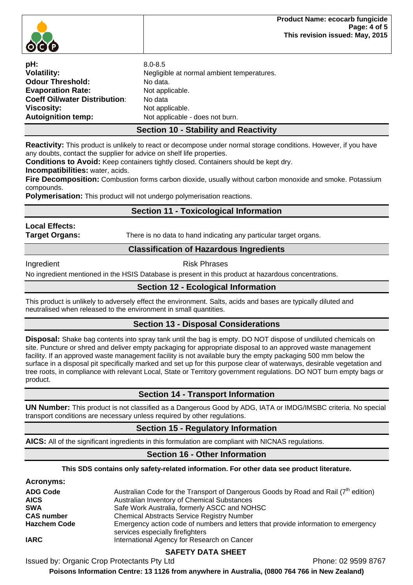

| pH:                                  | $8.0 - 8.5$                                |
|--------------------------------------|--------------------------------------------|
| <b>Volatility:</b>                   | Negligible at normal ambient temperatures. |
| <b>Odour Threshold:</b>              | No data.                                   |
| <b>Evaporation Rate:</b>             | Not applicable.                            |
| <b>Coeff Oil/water Distribution:</b> | No data                                    |
| Viscosity:                           | Not applicable.                            |
| <b>Autoignition temp:</b>            | Not applicable - does not burn.            |

## **Section 10 - Stability and Reactivity**

**Reactivity:** This product is unlikely to react or decompose under normal storage conditions. However, if you have any doubts, contact the supplier for advice on shelf life properties.

**Conditions to Avoid:** Keep containers tightly closed. Containers should be kept dry.

**Incompatibilities:** water, acids.

**Fire Decomposition:** Combustion forms carbon dioxide, usually without carbon monoxide and smoke. Potassium compounds.

**Polymerisation:** This product will not undergo polymerisation reactions.

# **Section 11 - Toxicological Information**

**Local Effects:** 

**Target Organs:** There is no data to hand indicating any particular target organs.

## **Classification of Hazardous Ingredients**

Ingredient **Risk Phrases** 

No ingredient mentioned in the HSIS Database is present in this product at hazardous concentrations.

## **Section 12 - Ecological Information**

This product is unlikely to adversely effect the environment. Salts, acids and bases are typically diluted and neutralised when released to the environment in small quantities.

## **Section 13 - Disposal Considerations**

**Disposal:** Shake bag contents into spray tank until the bag is empty. DO NOT dispose of undiluted chemicals on site. Puncture or shred and deliver empty packaging for appropriate disposal to an approved waste management facility. If an approved waste management facility is not available bury the empty packaging 500 mm below the surface in a disposal pit specifically marked and set up for this purpose clear of waterways, desirable vegetation and tree roots, in compliance with relevant Local, State or Territory government regulations. DO NOT burn empty bags or product.

## **Section 14 - Transport Information**

**UN Number:** This product is not classified as a Dangerous Good by ADG, IATA or IMDG/IMSBC criteria. No special transport conditions are necessary unless required by other regulations.

## **Section 15 - Regulatory Information**

**AICS:** All of the significant ingredients in this formulation are compliant with NICNAS regulations.

## **Section 16 - Other Information**

**This SDS contains only safety-related information. For other data see product literature.** 

#### **Acronyms:**

| <b>ADG Code</b>     | Australian Code for the Transport of Dangerous Goods by Road and Rail $(7th$ edition)                                  |
|---------------------|------------------------------------------------------------------------------------------------------------------------|
| <b>AICS</b>         | Australian Inventory of Chemical Substances                                                                            |
| <b>SWA</b>          | Safe Work Australia, formerly ASCC and NOHSC                                                                           |
| <b>CAS number</b>   | <b>Chemical Abstracts Service Registry Number</b>                                                                      |
| <b>Hazchem Code</b> | Emergency action code of numbers and letters that provide information to emergency<br>services especially firefighters |
| <b>IARC</b>         | International Agency for Research on Cancer                                                                            |

## **SAFETY DATA SHEET**

Issued by: Organic Crop Protectants Pty Ltd **Phone: 02 9599 8767**